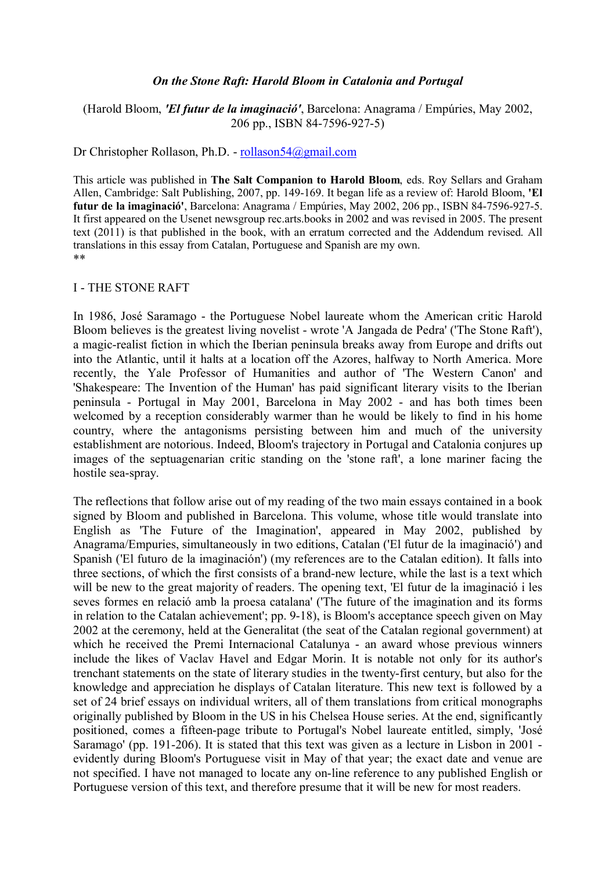#### *On the Stone Raft: Harold Bloom in Catalonia and Portugal*

## (Harold Bloom, *'El futur de la imaginació'*, Barcelona: Anagrama / Empúries, May 2002, 206 pp., ISBN 84-7596-927-5)

Dr Christopher Rollason, Ph.D. - [rollason54@gmail.com](mailto:rollason54@gmail.com)

This article was published in **The Salt Companion to Harold Bloom**, eds. Roy Sellars and Graham Allen, Cambridge: Salt Publishing, 2007, pp. 149-169. It began life as a review of: Harold Bloom, **'El futur de la imaginació'**, Barcelona: Anagrama / Empúries, May 2002, 206 pp., ISBN 84-7596-927-5. It first appeared on the Usenet newsgroup rec.arts.books in 2002 and was revised in 2005. The present text (2011) is that published in the book, with an erratum corrected and the Addendum revised. All translations in this essay from Catalan, Portuguese and Spanish are my own. \*\*

I - THE STONE RAFT

In 1986, José Saramago - the Portuguese Nobel laureate whom the American critic Harold Bloom believes is the greatest living novelist - wrote 'A Jangada de Pedra' ('The Stone Raft'), a magic-realist fiction in which the Iberian peninsula breaks away from Europe and drifts out into the Atlantic, until it halts at a location off the Azores, halfway to North America. More recently, the Yale Professor of Humanities and author of 'The Western Canon' and 'Shakespeare: The Invention of the Human' has paid significant literary visits to the Iberian peninsula - Portugal in May 2001, Barcelona in May 2002 - and has both times been welcomed by a reception considerably warmer than he would be likely to find in his home country, where the antagonisms persisting between him and much of the university establishment are notorious. Indeed, Bloom's trajectory in Portugal and Catalonia conjures up images of the septuagenarian critic standing on the 'stone raft', a lone mariner facing the hostile sea-spray.

The reflections that follow arise out of my reading of the two main essays contained in a book signed by Bloom and published in Barcelona. This volume, whose title would translate into English as 'The Future of the Imagination', appeared in May 2002, published by Anagrama/Empuries, simultaneously in two editions, Catalan ('El futur de la imaginació') and Spanish ('El futuro de la imaginación') (my references are to the Catalan edition). It falls into three sections, of which the first consists of a brand-new lecture, while the last is a text which will be new to the great majority of readers. The opening text, 'El futur de la imaginació i les seves formes en relació amb la proesa catalana' ('The future of the imagination and its forms in relation to the Catalan achievement'; pp. 9-18), is Bloom's acceptance speech given on May 2002 at the ceremony, held at the Generalitat (the seat of the Catalan regional government) at which he received the Premi Internacional Catalunya - an award whose previous winners include the likes of Vaclav Havel and Edgar Morin. It is notable not only for its author's trenchant statements on the state of literary studies in the twenty-first century, but also for the knowledge and appreciation he displays of Catalan literature. This new text is followed by a set of 24 brief essays on individual writers, all of them translations from critical monographs originally published by Bloom in the US in his Chelsea House series. At the end, significantly positioned, comes a fifteen-page tribute to Portugal's Nobel laureate entitled, simply, 'José Saramago' (pp. 191-206). It is stated that this text was given as a lecture in Lisbon in 2001 evidently during Bloom's Portuguese visit in May of that year; the exact date and venue are not specified. I have not managed to locate any on-line reference to any published English or Portuguese version of this text, and therefore presume that it will be new for most readers.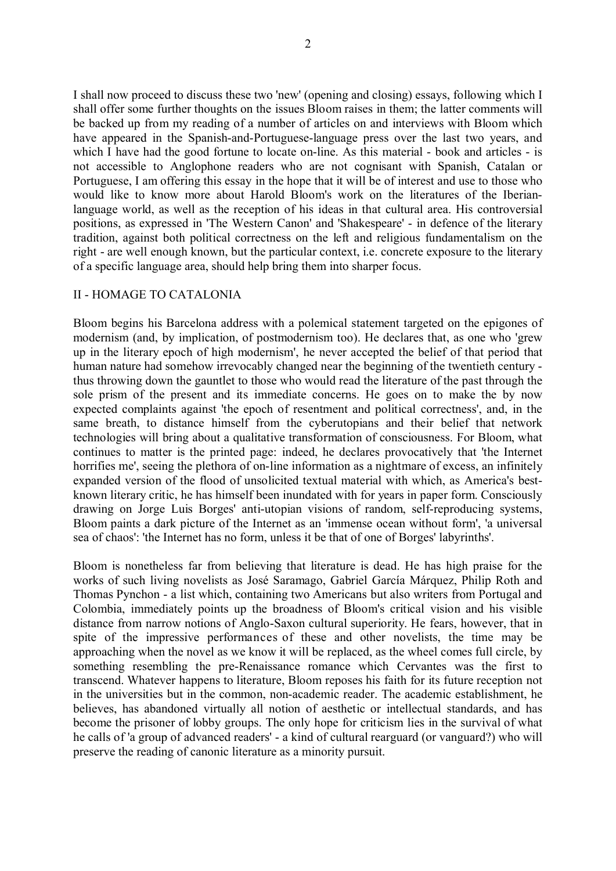I shall now proceed to discuss these two 'new' (opening and closing) essays, following which I shall offer some further thoughts on the issues Bloom raises in them; the latter comments will be backed up from my reading of a number of articles on and interviews with Bloom which have appeared in the Spanish-and-Portuguese-language press over the last two years, and which I have had the good fortune to locate on-line. As this material - book and articles - is not accessible to Anglophone readers who are not cognisant with Spanish, Catalan or Portuguese, I am offering this essay in the hope that it will be of interest and use to those who would like to know more about Harold Bloom's work on the literatures of the Iberianlanguage world, as well as the reception of his ideas in that cultural area. His controversial positions, as expressed in 'The Western Canon' and 'Shakespeare' - in defence of the literary tradition, against both political correctness on the left and religious fundamentalism on the right - are well enough known, but the particular context, i.e. concrete exposure to the literary of a specific language area, should help bring them into sharper focus.

#### II - HOMAGE TO CATALONIA

Bloom begins his Barcelona address with a polemical statement targeted on the epigones of modernism (and, by implication, of postmodernism too). He declares that, as one who 'grew up in the literary epoch of high modernism', he never accepted the belief of that period that human nature had somehow irrevocably changed near the beginning of the twentieth century thus throwing down the gauntlet to those who would read the literature of the past through the sole prism of the present and its immediate concerns. He goes on to make the by now expected complaints against 'the epoch of resentment and political correctness', and, in the same breath, to distance himself from the cyberutopians and their belief that network technologies will bring about a qualitative transformation of consciousness. For Bloom, what continues to matter is the printed page: indeed, he declares provocatively that 'the Internet horrifies me', seeing the plethora of on-line information as a nightmare of excess, an infinitely expanded version of the flood of unsolicited textual material with which, as America's bestknown literary critic, he has himself been inundated with for years in paper form. Consciously drawing on Jorge Luis Borges' anti-utopian visions of random, self-reproducing systems, Bloom paints a dark picture of the Internet as an 'immense ocean without form', 'a universal sea of chaos': 'the Internet has no form, unless it be that of one of Borges' labyrinths'.

Bloom is nonetheless far from believing that literature is dead. He has high praise for the works of such living novelists as José Saramago, Gabriel García Márquez, Philip Roth and Thomas Pynchon - a list which, containing two Americans but also writers from Portugal and Colombia, immediately points up the broadness of Bloom's critical vision and his visible distance from narrow notions of Anglo-Saxon cultural superiority. He fears, however, that in spite of the impressive performances of these and other novelists, the time may be approaching when the novel as we know it will be replaced, as the wheel comes full circle, by something resembling the pre-Renaissance romance which Cervantes was the first to transcend. Whatever happens to literature, Bloom reposes his faith for its future reception not in the universities but in the common, non-academic reader. The academic establishment, he believes, has abandoned virtually all notion of aesthetic or intellectual standards, and has become the prisoner of lobby groups. The only hope for criticism lies in the survival of what he calls of 'a group of advanced readers' - a kind of cultural rearguard (or vanguard?) who will preserve the reading of canonic literature as a minority pursuit.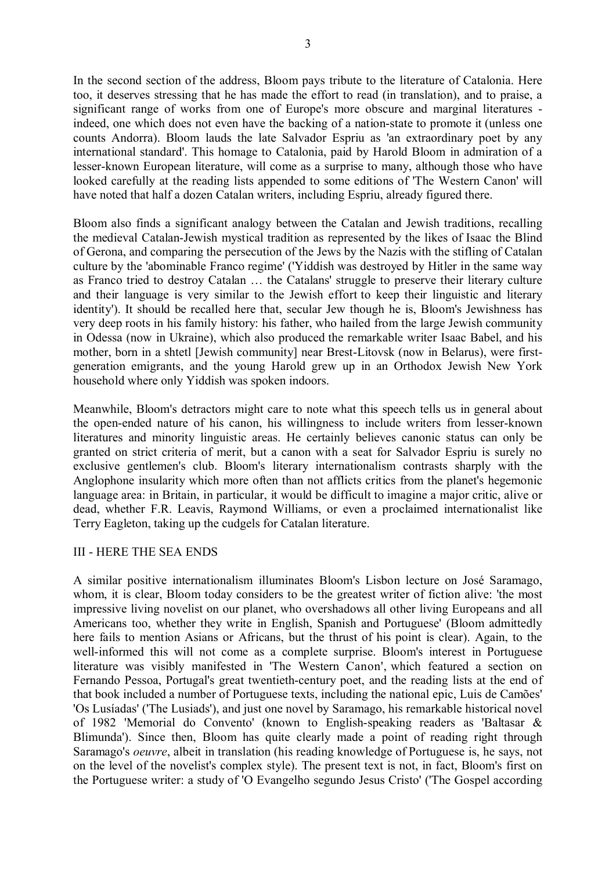3

In the second section of the address, Bloom pays tribute to the literature of Catalonia. Here too, it deserves stressing that he has made the effort to read (in translation), and to praise, a significant range of works from one of Europe's more obscure and marginal literatures indeed, one which does not even have the backing of a nation-state to promote it (unless one counts Andorra). Bloom lauds the late Salvador Espriu as 'an extraordinary poet by any international standard'. This homage to Catalonia, paid by Harold Bloom in admiration of a lesser-known European literature, will come as a surprise to many, although those who have looked carefully at the reading lists appended to some editions of 'The Western Canon' will have noted that half a dozen Catalan writers, including Espriu, already figured there.

Bloom also finds a significant analogy between the Catalan and Jewish traditions, recalling the medieval Catalan-Jewish mystical tradition as represented by the likes of Isaac the Blind of Gerona, and comparing the persecution of the Jews by the Nazis with the stifling of Catalan culture by the 'abominable Franco regime' ('Yiddish was destroyed by Hitler in the same way as Franco tried to destroy Catalan … the Catalans' struggle to preserve their literary culture and their language is very similar to the Jewish effort to keep their linguistic and literary identity'). It should be recalled here that, secular Jew though he is, Bloom's Jewishness has very deep roots in his family history: his father, who hailed from the large Jewish community in Odessa (now in Ukraine), which also produced the remarkable writer Isaac Babel, and his mother, born in a shtetl [Jewish community] near Brest-Litovsk (now in Belarus), were firstgeneration emigrants, and the young Harold grew up in an Orthodox Jewish New York household where only Yiddish was spoken indoors.

Meanwhile, Bloom's detractors might care to note what this speech tells us in general about the open-ended nature of his canon, his willingness to include writers from lesser-known literatures and minority linguistic areas. He certainly believes canonic status can only be granted on strict criteria of merit, but a canon with a seat for Salvador Espriu is surely no exclusive gentlemen's club. Bloom's literary internationalism contrasts sharply with the Anglophone insularity which more often than not afflicts critics from the planet's hegemonic language area: in Britain, in particular, it would be difficult to imagine a major critic, alive or dead, whether F.R. Leavis, Raymond Williams, or even a proclaimed internationalist like Terry Eagleton, taking up the cudgels for Catalan literature.

### III - HERE THE SEA ENDS

A similar positive internationalism illuminates Bloom's Lisbon lecture on José Saramago, whom, it is clear, Bloom today considers to be the greatest writer of fiction alive: 'the most impressive living novelist on our planet, who overshadows all other living Europeans and all Americans too, whether they write in English, Spanish and Portuguese' (Bloom admittedly here fails to mention Asians or Africans, but the thrust of his point is clear). Again, to the well-informed this will not come as a complete surprise. Bloom's interest in Portuguese literature was visibly manifested in 'The Western Canon', which featured a section on Fernando Pessoa, Portugal's great twentieth-century poet, and the reading lists at the end of that book included a number of Portuguese texts, including the national epic, Luis de Camões' 'Os Lusíadas' ('The Lusiads'), and just one novel by Saramago, his remarkable historical novel of 1982 'Memorial do Convento' (known to English-speaking readers as 'Baltasar & Blimunda'). Since then, Bloom has quite clearly made a point of reading right through Saramago's *oeuvre*, albeit in translation (his reading knowledge of Portuguese is, he says, not on the level of the novelist's complex style). The present text is not, in fact, Bloom's first on the Portuguese writer: a study of 'O Evangelho segundo Jesus Cristo' ('The Gospel according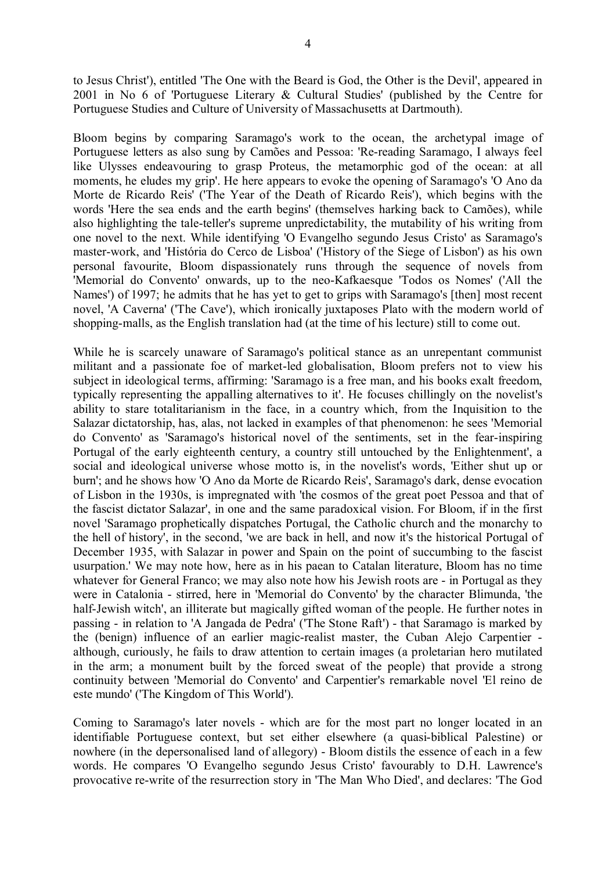to Jesus Christ'), entitled 'The One with the Beard is God, the Other is the Devil', appeared in 2001 in No 6 of 'Portuguese Literary & Cultural Studies' (published by the Centre for Portuguese Studies and Culture of University of Massachusetts at Dartmouth).

Bloom begins by comparing Saramago's work to the ocean, the archetypal image of Portuguese letters as also sung by Camões and Pessoa: 'Re-reading Saramago, I always feel like Ulysses endeavouring to grasp Proteus, the metamorphic god of the ocean: at all moments, he eludes my grip'. He here appears to evoke the opening of Saramago's 'O Ano da Morte de Ricardo Reis' ('The Year of the Death of Ricardo Reis'), which begins with the words 'Here the sea ends and the earth begins' (themselves harking back to Camões), while also highlighting the tale-teller's supreme unpredictability, the mutability of his writing from one novel to the next. While identifying 'O Evangelho segundo Jesus Cristo' as Saramago's master-work, and 'História do Cerco de Lisboa' ('History of the Siege of Lisbon') as his own personal favourite, Bloom dispassionately runs through the sequence of novels from 'Memorial do Convento' onwards, up to the neo-Kafkaesque 'Todos os Nomes' ('All the Names') of 1997; he admits that he has yet to get to grips with Saramago's [then] most recent novel, 'A Caverna' ('The Cave'), which ironically juxtaposes Plato with the modern world of shopping-malls, as the English translation had (at the time of his lecture) still to come out.

While he is scarcely unaware of Saramago's political stance as an unrepentant communist militant and a passionate foe of market-led globalisation, Bloom prefers not to view his subject in ideological terms, affirming: 'Saramago is a free man, and his books exalt freedom, typically representing the appalling alternatives to it'. He focuses chillingly on the novelist's ability to stare totalitarianism in the face, in a country which, from the Inquisition to the Salazar dictatorship, has, alas, not lacked in examples of that phenomenon: he sees 'Memorial do Convento' as 'Saramago's historical novel of the sentiments, set in the fear-inspiring Portugal of the early eighteenth century, a country still untouched by the Enlightenment', a social and ideological universe whose motto is, in the novelist's words, 'Either shut up or burn'; and he shows how 'O Ano da Morte de Ricardo Reis', Saramago's dark, dense evocation of Lisbon in the 1930s, is impregnated with 'the cosmos of the great poet Pessoa and that of the fascist dictator Salazar', in one and the same paradoxical vision. For Bloom, if in the first novel 'Saramago prophetically dispatches Portugal, the Catholic church and the monarchy to the hell of history', in the second, 'we are back in hell, and now it's the historical Portugal of December 1935, with Salazar in power and Spain on the point of succumbing to the fascist usurpation.' We may note how, here as in his paean to Catalan literature, Bloom has no time whatever for General Franco; we may also note how his Jewish roots are - in Portugal as they were in Catalonia - stirred, here in 'Memorial do Convento' by the character Blimunda, 'the half-Jewish witch', an illiterate but magically gifted woman of the people. He further notes in passing - in relation to 'A Jangada de Pedra' ('The Stone Raft') - that Saramago is marked by the (benign) influence of an earlier magic-realist master, the Cuban Alejo Carpentier although, curiously, he fails to draw attention to certain images (a proletarian hero mutilated in the arm; a monument built by the forced sweat of the people) that provide a strong continuity between 'Memorial do Convento' and Carpentier's remarkable novel 'El reino de este mundo' ('The Kingdom of This World').

Coming to Saramago's later novels - which are for the most part no longer located in an identifiable Portuguese context, but set either elsewhere (a quasi-biblical Palestine) or nowhere (in the depersonalised land of allegory) - Bloom distils the essence of each in a few words. He compares 'O Evangelho segundo Jesus Cristo' favourably to D.H. Lawrence's provocative re-write of the resurrection story in 'The Man Who Died', and declares: 'The God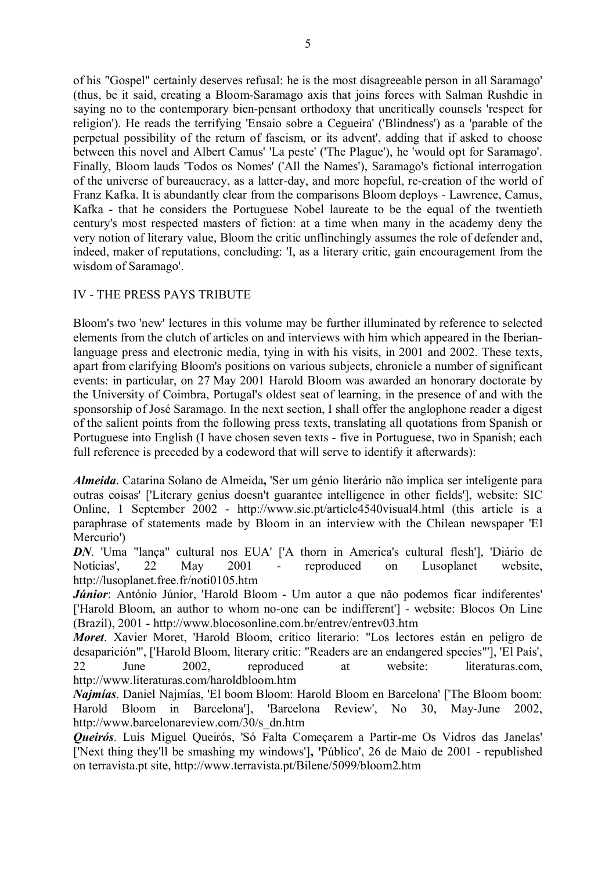of his "Gospel" certainly deserves refusal: he is the most disagreeable person in all Saramago' (thus, be it said, creating a Bloom-Saramago axis that joins forces with Salman Rushdie in saying no to the contemporary bien-pensant orthodoxy that uncritically counsels 'respect for religion'). He reads the terrifying 'Ensaio sobre a Cegueira' ('Blindness') as a 'parable of the perpetual possibility of the return of fascism, or its advent', adding that if asked to choose between this novel and Albert Camus' 'La peste' ('The Plague'), he 'would opt for Saramago'. Finally, Bloom lauds 'Todos os Nomes' ('All the Names'), Saramago's fictional interrogation of the universe of bureaucracy, as a latter-day, and more hopeful, re-creation of the world of Franz Kafka. It is abundantly clear from the comparisons Bloom deploys - Lawrence, Camus, Kafka - that he considers the Portuguese Nobel laureate to be the equal of the twentieth century's most respected masters of fiction: at a time when many in the academy deny the very notion of literary value, Bloom the critic unflinchingly assumes the role of defender and, indeed, maker of reputations, concluding: 'I, as a literary critic, gain encouragement from the wisdom of Saramago'.

### IV - THE PRESS PAYS TRIBUTE

Bloom's two 'new' lectures in this volume may be further illuminated by reference to selected elements from the clutch of articles on and interviews with him which appeared in the Iberianlanguage press and electronic media, tying in with his visits, in 2001 and 2002. These texts, apart from clarifying Bloom's positions on various subjects, chronicle a number of significant events: in particular, on 27 May 2001 Harold Bloom was awarded an honorary doctorate by the University of Coimbra, Portugal's oldest seat of learning, in the presence of and with the sponsorship of José Saramago. In the next section, I shall offer the anglophone reader a digest of the salient points from the following press texts, translating all quotations from Spanish or Portuguese into English (I have chosen seven texts - five in Portuguese, two in Spanish; each full reference is preceded by a codeword that will serve to identify it afterwards):

*Almeida*. Catarina Solano de Almeida**,** 'Ser um génio literário não implica ser inteligente para outras coisas' ['Literary genius doesn't guarantee intelligence in other fields'], website: SIC Online, 1 September 2002 - http://www.sic.pt/article4540visual4.html (this article is a paraphrase of statements made by Bloom in an interview with the Chilean newspaper 'El Mercurio')

*DN*. 'Uma "lança" cultural nos EUA' ['A thorn in America's cultural flesh'], 'Diário de Notícias', 22 May 2001 - reproduced on Lusoplanet website, http://lusoplanet.free.fr/noti0105.htm

*Júnior*: António Júnior, 'Harold Bloom - Um autor a que não podemos ficar indiferentes' ['Harold Bloom, an author to whom no-one can be indifferent'] - website: Blocos On Line (Brazil), 2001 - http://www.blocosonline.com.br/entrev/entrev03.htm

*Moret*. Xavier Moret, 'Harold Bloom, crítico literario: "Los lectores están en peligro de desaparición"', ['Harold Bloom, literary critic: "Readers are an endangered species"'], 'El País', 22 June 2002, reproduced at website: literaturas.com, http://www.literaturas.com/haroldbloom.htm

*Najmías*. Daniel Najmías, 'El boom Bloom: Harold Bloom en Barcelona' ['The Bloom boom: Harold Bloom in Barcelona'], 'Barcelona Review', No 30, May-June 2002, http://www.barcelonareview.com/30/s\_dn.htm

*Queirós*. Luís Miguel Queirós, 'Só Falta Começarem a Partir-me Os Vidros das Janelas' ['Next thing they'll be smashing my windows']**, '**Público', 26 de Maio de 2001 - republished on terravista.pt site, http://www.terravista.pt/Bilene/5099/bloom2.htm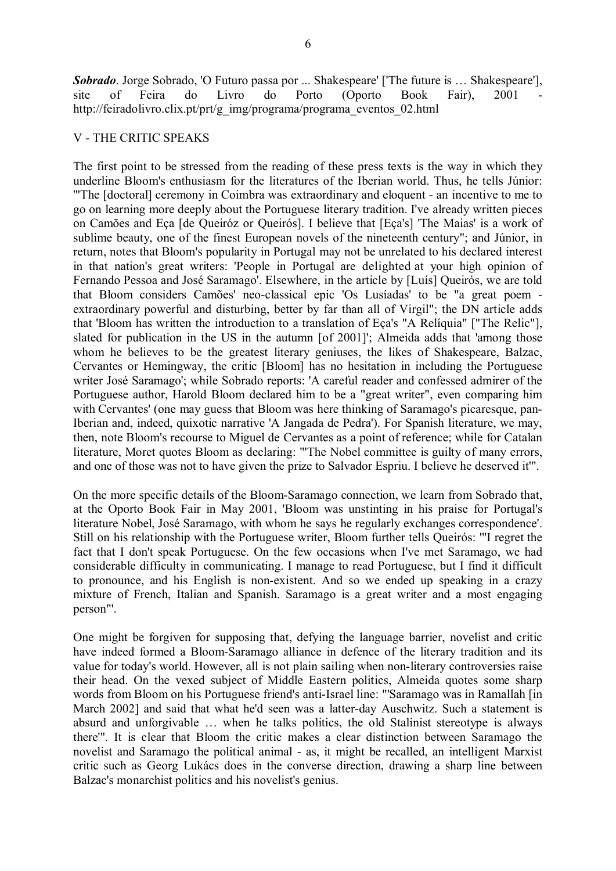*Sobrado*. Jorge Sobrado, 'O Futuro passa por ... Shakespeare' ['The future is … Shakespeare'], site of Feira do Livro do Porto (Oporto Book Fair), 2001 http://feiradolivro.clix.pt/prt/g\_img/programa/programa\_eventos\_02.html

#### V - THE CRITIC SPEAKS

The first point to be stressed from the reading of these press texts is the way in which they underline Bloom's enthusiasm for the literatures of the Iberian world. Thus, he tells Júnior: '"The [doctoral] ceremony in Coimbra was extraordinary and eloquent - an incentive to me to go on learning more deeply about the Portuguese literary tradition. I've already written pieces on Camões and Eça [de Queiróz or Queirós]. I believe that [Eça's] 'The Maias' is a work of sublime beauty, one of the finest European novels of the nineteenth century"; and Júnior, in return, notes that Bloom's popularity in Portugal may not be unrelated to his declared interest in that nation's great writers: 'People in Portugal are delighted at your high opinion of Fernando Pessoa and José Saramago'. Elsewhere, in the article by [Luís] Queirós, we are told that Bloom considers Camões' neo-classical epic 'Os Lusíadas' to be "a great poem extraordinary powerful and disturbing, better by far than all of Virgil"; the DN article adds that 'Bloom has written the introduction to a translation of Eça's "A Relíquia" ["The Relic"], slated for publication in the US in the autumn [of 2001]'; Almeida adds that 'among those whom he believes to be the greatest literary geniuses, the likes of Shakespeare, Balzac, Cervantes or Hemingway, the critic [Bloom] has no hesitation in including the Portuguese writer José Saramago'; while Sobrado reports: 'A careful reader and confessed admirer of the Portuguese author, Harold Bloom declared him to be a "great writer", even comparing him with Cervantes' (one may guess that Bloom was here thinking of Saramago's picaresque, pan-Iberian and, indeed, quixotic narrative 'A Jangada de Pedra'). For Spanish literature, we may, then, note Bloom's recourse to Miguel de Cervantes as a point of reference; while for Catalan literature, Moret quotes Bloom as declaring: "'The Nobel committee is guilty of many errors, and one of those was not to have given the prize to Salvador Espriu. I believe he deserved it'".

On the more specific details of the Bloom-Saramago connection, we learn from Sobrado that, at the Oporto Book Fair in May 2001, 'Bloom was unstinting in his praise for Portugal's literature Nobel, José Saramago, with whom he says he regularly exchanges correspondence'. Still on his relationship with the Portuguese writer, Bloom further tells Queirós: '"I regret the fact that I don't speak Portuguese. On the few occasions when I've met Saramago, we had considerable difficulty in communicating. I manage to read Portuguese, but I find it difficult to pronounce, and his English is non-existent. And so we ended up speaking in a crazy mixture of French, Italian and Spanish. Saramago is a great writer and a most engaging person"'.

One might be forgiven for supposing that, defying the language barrier, novelist and critic have indeed formed a Bloom-Saramago alliance in defence of the literary tradition and its value for today's world. However, all is not plain sailing when non-literary controversies raise their head. On the vexed subject of Middle Eastern politics, Almeida quotes some sharp words from Bloom on his Portuguese friend's anti-Israel line: "'Saramago was in Ramallah [in March 2002] and said that what he'd seen was a latter-day Auschwitz. Such a statement is absurd and unforgivable … when he talks politics, the old Stalinist stereotype is always there'". It is clear that Bloom the critic makes a clear distinction between Saramago the novelist and Saramago the political animal - as, it might be recalled, an intelligent Marxist critic such as Georg Lukács does in the converse direction, drawing a sharp line between Balzac's monarchist politics and his novelist's genius.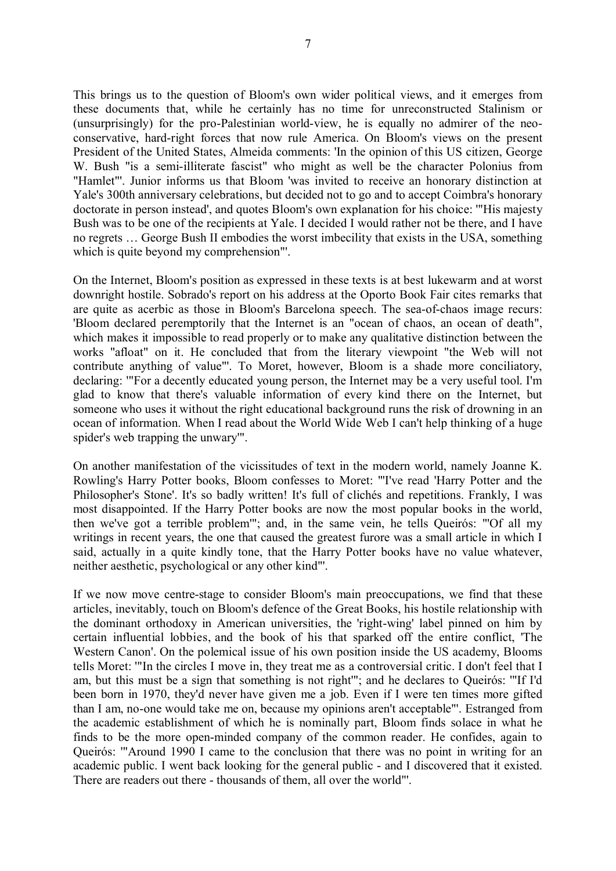This brings us to the question of Bloom's own wider political views, and it emerges from these documents that, while he certainly has no time for unreconstructed Stalinism or (unsurprisingly) for the pro-Palestinian world-view, he is equally no admirer of the neoconservative, hard-right forces that now rule America. On Bloom's views on the present President of the United States, Almeida comments: 'In the opinion of this US citizen, George W. Bush "is a semi-illiterate fascist" who might as well be the character Polonius from "Hamlet"'. Junior informs us that Bloom 'was invited to receive an honorary distinction at Yale's 300th anniversary celebrations, but decided not to go and to accept Coimbra's honorary doctorate in person instead', and quotes Bloom's own explanation for his choice: '"His majesty Bush was to be one of the recipients at Yale. I decided I would rather not be there, and I have no regrets … George Bush II embodies the worst imbecility that exists in the USA, something which is quite beyond my comprehension"'.

On the Internet, Bloom's position as expressed in these texts is at best lukewarm and at worst downright hostile. Sobrado's report on his address at the Oporto Book Fair cites remarks that are quite as acerbic as those in Bloom's Barcelona speech. The sea-of-chaos image recurs: 'Bloom declared peremptorily that the Internet is an "ocean of chaos, an ocean of death", which makes it impossible to read properly or to make any qualitative distinction between the works "afloat" on it. He concluded that from the literary viewpoint "the Web will not contribute anything of value"'. To Moret, however, Bloom is a shade more conciliatory, declaring: '"For a decently educated young person, the Internet may be a very useful tool. I'm glad to know that there's valuable information of every kind there on the Internet, but someone who uses it without the right educational background runs the risk of drowning in an ocean of information. When I read about the World Wide Web I can't help thinking of a huge spider's web trapping the unwary'".

On another manifestation of the vicissitudes of text in the modern world, namely Joanne K. Rowling's Harry Potter books, Bloom confesses to Moret: "'I've read 'Harry Potter and the Philosopher's Stone'. It's so badly written! It's full of clichés and repetitions. Frankly, I was most disappointed. If the Harry Potter books are now the most popular books in the world, then we've got a terrible problem'"; and, in the same vein, he tells Queirós: "'Of all my writings in recent years, the one that caused the greatest furore was a small article in which I said, actually in a quite kindly tone, that the Harry Potter books have no value whatever, neither aesthetic, psychological or any other kind"'.

If we now move centre-stage to consider Bloom's main preoccupations, we find that these articles, inevitably, touch on Bloom's defence of the Great Books, his hostile relationship with the dominant orthodoxy in American universities, the 'right-wing' label pinned on him by certain influential lobbies, and the book of his that sparked off the entire conflict, 'The Western Canon'. On the polemical issue of his own position inside the US academy, Blooms tells Moret: '"In the circles I move in, they treat me as a controversial critic. I don't feel that I am, but this must be a sign that something is not right'"; and he declares to Queirós: '"If I'd been born in 1970, they'd never have given me a job. Even if I were ten times more gifted than I am, no-one would take me on, because my opinions aren't acceptable"'. Estranged from the academic establishment of which he is nominally part, Bloom finds solace in what he finds to be the more open-minded company of the common reader. He confides, again to Queirós: '"Around 1990 I came to the conclusion that there was no point in writing for an academic public. I went back looking for the general public - and I discovered that it existed. There are readers out there - thousands of them, all over the world"'.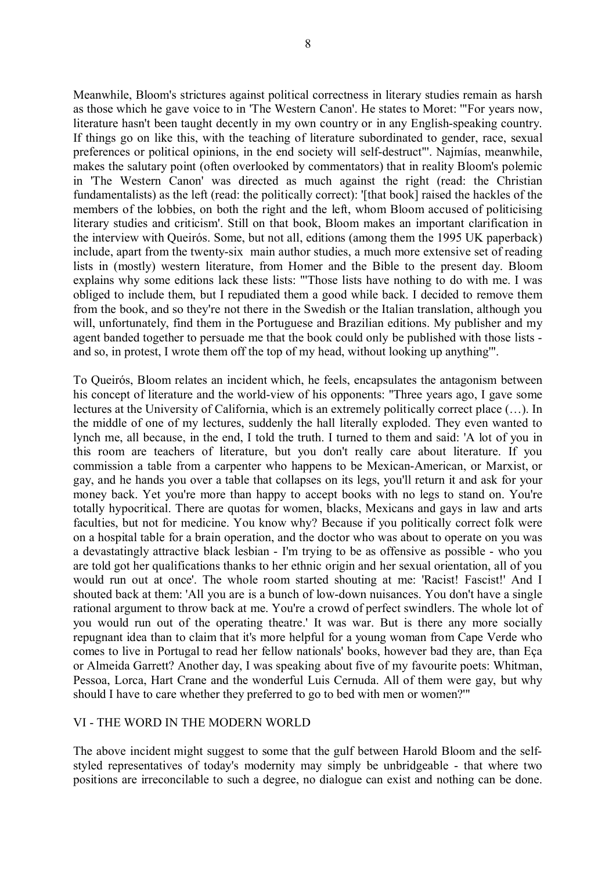8

Meanwhile, Bloom's strictures against political correctness in literary studies remain as harsh as those which he gave voice to in 'The Western Canon'. He states to Moret: '"For years now, literature hasn't been taught decently in my own country or in any English-speaking country. If things go on like this, with the teaching of literature subordinated to gender, race, sexual preferences or political opinions, in the end society will self-destruct"'. Najmías, meanwhile, makes the salutary point (often overlooked by commentators) that in reality Bloom's polemic in 'The Western Canon' was directed as much against the right (read: the Christian fundamentalists) as the left (read: the politically correct): '[that book] raised the hackles of the members of the lobbies, on both the right and the left, whom Bloom accused of politicising literary studies and criticism'. Still on that book, Bloom makes an important clarification in the interview with Queirós. Some, but not all, editions (among them the 1995 UK paperback) include, apart from the twenty-six main author studies, a much more extensive set of reading lists in (mostly) western literature, from Homer and the Bible to the present day. Bloom explains why some editions lack these lists: "'Those lists have nothing to do with me. I was obliged to include them, but I repudiated them a good while back. I decided to remove them from the book, and so they're not there in the Swedish or the Italian translation, although you will, unfortunately, find them in the Portuguese and Brazilian editions. My publisher and my agent banded together to persuade me that the book could only be published with those lists and so, in protest, I wrote them off the top of my head, without looking up anything'".

To Queirós, Bloom relates an incident which, he feels, encapsulates the antagonism between his concept of literature and the world-view of his opponents: ''Three years ago, I gave some lectures at the University of California, which is an extremely politically correct place (…). In the middle of one of my lectures, suddenly the hall literally exploded. They even wanted to lynch me, all because, in the end, I told the truth. I turned to them and said: 'A lot of you in this room are teachers of literature, but you don't really care about literature. If you commission a table from a carpenter who happens to be Mexican-American, or Marxist, or gay, and he hands you over a table that collapses on its legs, you'll return it and ask for your money back. Yet you're more than happy to accept books with no legs to stand on. You're totally hypocritical. There are quotas for women, blacks, Mexicans and gays in law and arts faculties, but not for medicine. You know why? Because if you politically correct folk were on a hospital table for a brain operation, and the doctor who was about to operate on you was a devastatingly attractive black lesbian - I'm trying to be as offensive as possible - who you are told got her qualifications thanks to her ethnic origin and her sexual orientation, all of you would run out at once'. The whole room started shouting at me: 'Racist! Fascist!' And I shouted back at them: 'All you are is a bunch of low-down nuisances. You don't have a single rational argument to throw back at me. You're a crowd of perfect swindlers. The whole lot of you would run out of the operating theatre.' It was war. But is there any more socially repugnant idea than to claim that it's more helpful for a young woman from Cape Verde who comes to live in Portugal to read her fellow nationals' books, however bad they are, than Eça or Almeida Garrett? Another day, I was speaking about five of my favourite poets: Whitman, Pessoa, Lorca, Hart Crane and the wonderful Luis Cernuda. All of them were gay, but why should I have to care whether they preferred to go to bed with men or women?'"

# VI - THE WORD IN THE MODERN WORLD

The above incident might suggest to some that the gulf between Harold Bloom and the selfstyled representatives of today's modernity may simply be unbridgeable - that where two positions are irreconcilable to such a degree, no dialogue can exist and nothing can be done.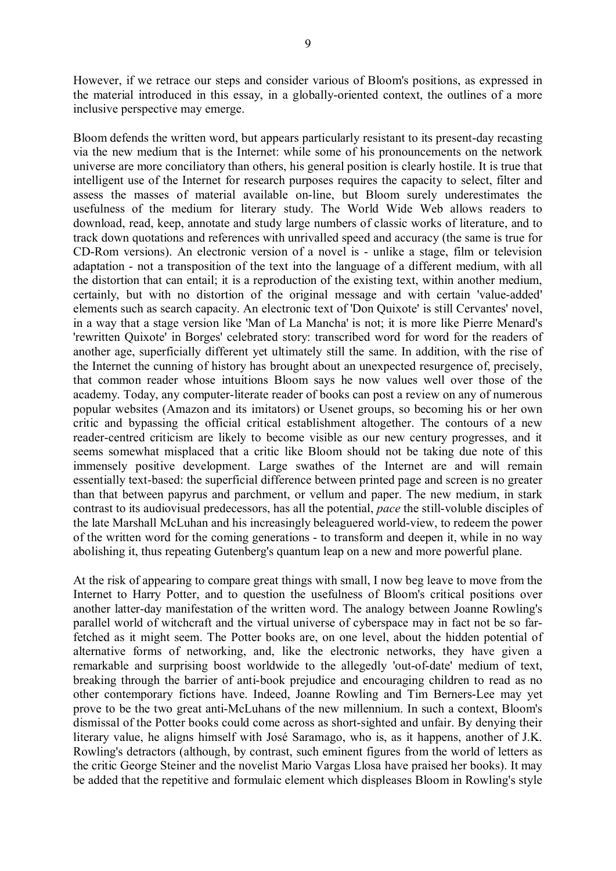However, if we retrace our steps and consider various of Bloom's positions, as expressed in the material introduced in this essay, in a globally-oriented context, the outlines of a more inclusive perspective may emerge.

Bloom defends the written word, but appears particularly resistant to its present-day recasting via the new medium that is the Internet: while some of his pronouncements on the network universe are more conciliatory than others, his general position is clearly hostile. It is true that intelligent use of the Internet for research purposes requires the capacity to select, filter and assess the masses of material available on-line, but Bloom surely underestimates the usefulness of the medium for literary study. The World Wide Web allows readers to download, read, keep, annotate and study large numbers of classic works of literature, and to track down quotations and references with unrivalled speed and accuracy (the same is true for CD-Rom versions). An electronic version of a novel is - unlike a stage, film or television adaptation - not a transposition of the text into the language of a different medium, with all the distortion that can entail; it is a reproduction of the existing text, within another medium, certainly, but with no distortion of the original message and with certain 'value-added' elements such as search capacity. An electronic text of 'Don Quixote' is still Cervantes' novel, in a way that a stage version like 'Man of La Mancha' is not; it is more like Pierre Menard's 'rewritten Quixote' in Borges' celebrated story: transcribed word for word for the readers of another age, superficially different yet ultimately still the same. In addition, with the rise of the Internet the cunning of history has brought about an unexpected resurgence of, precisely, that common reader whose intuitions Bloom says he now values well over those of the academy. Today, any computer-literate reader of books can post a review on any of numerous popular websites (Amazon and its imitators) or Usenet groups, so becoming his or her own critic and bypassing the official critical establishment altogether. The contours of a new reader-centred criticism are likely to become visible as our new century progresses, and it seems somewhat misplaced that a critic like Bloom should not be taking due note of this immensely positive development. Large swathes of the Internet are and will remain essentially text-based: the superficial difference between printed page and screen is no greater than that between papyrus and parchment, or vellum and paper. The new medium, in stark contrast to its audiovisual predecessors, has all the potential, *pace* the still-voluble disciples of the late Marshall McLuhan and his increasingly beleaguered world-view, to redeem the power of the written word for the coming generations - to transform and deepen it, while in no way abolishing it, thus repeating Gutenberg's quantum leap on a new and more powerful plane.

At the risk of appearing to compare great things with small, I now beg leave to move from the Internet to Harry Potter, and to question the usefulness of Bloom's critical positions over another latter-day manifestation of the written word. The analogy between Joanne Rowling's parallel world of witchcraft and the virtual universe of cyberspace may in fact not be so farfetched as it might seem. The Potter books are, on one level, about the hidden potential of alternative forms of networking, and, like the electronic networks, they have given a remarkable and surprising boost worldwide to the allegedly 'out-of-date' medium of text, breaking through the barrier of anti-book prejudice and encouraging children to read as no other contemporary fictions have. Indeed, Joanne Rowling and Tim Berners-Lee may yet prove to be the two great anti-McLuhans of the new millennium. In such a context, Bloom's dismissal of the Potter books could come across as short-sighted and unfair. By denying their literary value, he aligns himself with José Saramago, who is, as it happens, another of J.K. Rowling's detractors (although, by contrast, such eminent figures from the world of letters as the critic George Steiner and the novelist Mario Vargas Llosa have praised her books). It may be added that the repetitive and formulaic element which displeases Bloom in Rowling's style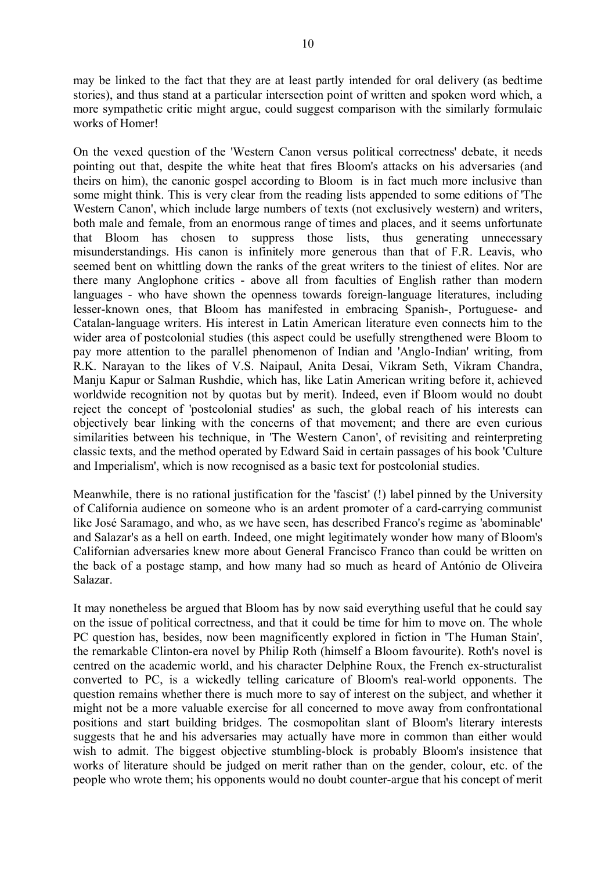may be linked to the fact that they are at least partly intended for oral delivery (as bedtime stories), and thus stand at a particular intersection point of written and spoken word which, a more sympathetic critic might argue, could suggest comparison with the similarly formulaic works of Homer!

On the vexed question of the 'Western Canon versus political correctness' debate, it needs pointing out that, despite the white heat that fires Bloom's attacks on his adversaries (and theirs on him), the canonic gospel according to Bloom is in fact much more inclusive than some might think. This is very clear from the reading lists appended to some editions of 'The Western Canon', which include large numbers of texts (not exclusively western) and writers, both male and female, from an enormous range of times and places, and it seems unfortunate that Bloom has chosen to suppress those lists, thus generating unnecessary misunderstandings. His canon is infinitely more generous than that of F.R. Leavis, who seemed bent on whittling down the ranks of the great writers to the tiniest of elites. Nor are there many Anglophone critics - above all from faculties of English rather than modern languages - who have shown the openness towards foreign-language literatures, including lesser-known ones, that Bloom has manifested in embracing Spanish-, Portuguese- and Catalan-language writers. His interest in Latin American literature even connects him to the wider area of postcolonial studies (this aspect could be usefully strengthened were Bloom to pay more attention to the parallel phenomenon of Indian and 'Anglo-Indian' writing, from R.K. Narayan to the likes of V.S. Naipaul, Anita Desai, Vikram Seth, Vikram Chandra, Manju Kapur or Salman Rushdie, which has, like Latin American writing before it, achieved worldwide recognition not by quotas but by merit). Indeed, even if Bloom would no doubt reject the concept of 'postcolonial studies' as such, the global reach of his interests can objectively bear linking with the concerns of that movement; and there are even curious similarities between his technique, in 'The Western Canon', of revisiting and reinterpreting classic texts, and the method operated by Edward Said in certain passages of his book 'Culture and Imperialism', which is now recognised as a basic text for postcolonial studies.

Meanwhile, there is no rational justification for the 'fascist' (!) label pinned by the University of California audience on someone who is an ardent promoter of a card-carrying communist like José Saramago, and who, as we have seen, has described Franco's regime as 'abominable' and Salazar's as a hell on earth. Indeed, one might legitimately wonder how many of Bloom's Californian adversaries knew more about General Francisco Franco than could be written on the back of a postage stamp, and how many had so much as heard of António de Oliveira Salazar.

It may nonetheless be argued that Bloom has by now said everything useful that he could say on the issue of political correctness, and that it could be time for him to move on. The whole PC question has, besides, now been magnificently explored in fiction in 'The Human Stain', the remarkable Clinton-era novel by Philip Roth (himself a Bloom favourite). Roth's novel is centred on the academic world, and his character Delphine Roux, the French ex-structuralist converted to PC, is a wickedly telling caricature of Bloom's real-world opponents. The question remains whether there is much more to say of interest on the subject, and whether it might not be a more valuable exercise for all concerned to move away from confrontational positions and start building bridges. The cosmopolitan slant of Bloom's literary interests suggests that he and his adversaries may actually have more in common than either would wish to admit. The biggest objective stumbling-block is probably Bloom's insistence that works of literature should be judged on merit rather than on the gender, colour, etc. of the people who wrote them; his opponents would no doubt counter-argue that his concept of merit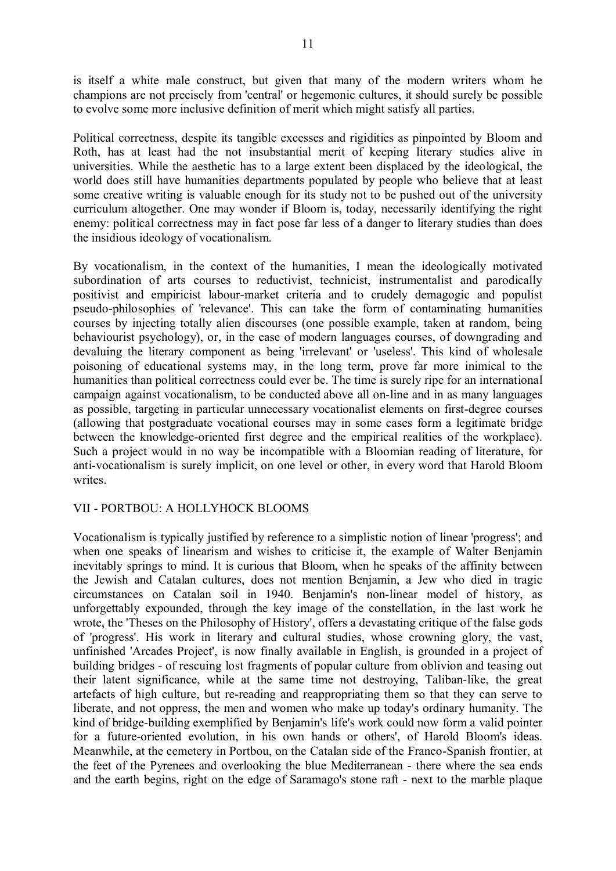is itself a white male construct, but given that many of the modern writers whom he champions are not precisely from 'central' or hegemonic cultures, it should surely be possible to evolve some more inclusive definition of merit which might satisfy all parties.

Political correctness, despite its tangible excesses and rigidities as pinpointed by Bloom and Roth, has at least had the not insubstantial merit of keeping literary studies alive in universities. While the aesthetic has to a large extent been displaced by the ideological, the world does still have humanities departments populated by people who believe that at least some creative writing is valuable enough for its study not to be pushed out of the university curriculum altogether. One may wonder if Bloom is, today, necessarily identifying the right enemy: political correctness may in fact pose far less of a danger to literary studies than does the insidious ideology of vocationalism.

By vocationalism, in the context of the humanities, I mean the ideologically motivated subordination of arts courses to reductivist, technicist, instrumentalist and parodically positivist and empiricist labour-market criteria and to crudely demagogic and populist pseudo-philosophies of 'relevance'. This can take the form of contaminating humanities courses by injecting totally alien discourses (one possible example, taken at random, being behaviourist psychology), or, in the case of modern languages courses, of downgrading and devaluing the literary component as being 'irrelevant' or 'useless'. This kind of wholesale poisoning of educational systems may, in the long term, prove far more inimical to the humanities than political correctness could ever be. The time is surely ripe for an international campaign against vocationalism, to be conducted above all on-line and in as many languages as possible, targeting in particular unnecessary vocationalist elements on first-degree courses (allowing that postgraduate vocational courses may in some cases form a legitimate bridge between the knowledge-oriented first degree and the empirical realities of the workplace). Such a project would in no way be incompatible with a Bloomian reading of literature, for anti-vocationalism is surely implicit, on one level or other, in every word that Harold Bloom writes.

### VII - PORTBOU: A HOLLYHOCK BLOOMS

Vocationalism is typically justified by reference to a simplistic notion of linear 'progress'; and when one speaks of linearism and wishes to criticise it, the example of Walter Benjamin inevitably springs to mind. It is curious that Bloom, when he speaks of the affinity between the Jewish and Catalan cultures, does not mention Benjamin, a Jew who died in tragic circumstances on Catalan soil in 1940. Benjamin's non-linear model of history, as unforgettably expounded, through the key image of the constellation, in the last work he wrote, the 'Theses on the Philosophy of History', offers a devastating critique of the false gods of 'progress'. His work in literary and cultural studies, whose crowning glory, the vast, unfinished 'Arcades Project', is now finally available in English, is grounded in a project of building bridges - of rescuing lost fragments of popular culture from oblivion and teasing out their latent significance, while at the same time not destroying, Taliban-like, the great artefacts of high culture, but re-reading and reappropriating them so that they can serve to liberate, and not oppress, the men and women who make up today's ordinary humanity. The kind of bridge-building exemplified by Benjamin's life's work could now form a valid pointer for a future-oriented evolution, in his own hands or others', of Harold Bloom's ideas. Meanwhile, at the cemetery in Portbou, on the Catalan side of the Franco-Spanish frontier, at the feet of the Pyrenees and overlooking the blue Mediterranean - there where the sea ends and the earth begins, right on the edge of Saramago's stone raft - next to the marble plaque